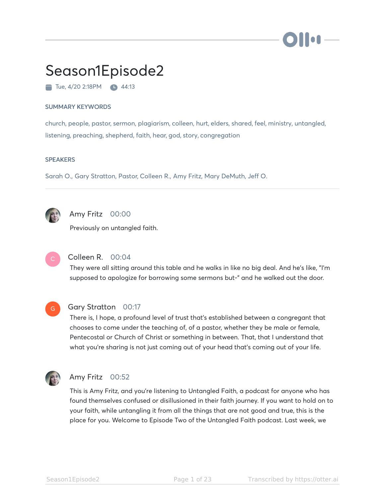# Season1Episode2

Tue, 4/20 2:18PM **44:13** 

#### SUMMARY KEYWORDS

church, people, pastor, sermon, plagiarism, colleen, hurt, elders, shared, feel, ministry, untangled, listening, preaching, shepherd, faith, hear, god, story, congregation

#### **SPEAKERS**

Sarah O., Gary Stratton, Pastor, Colleen R., Amy Fritz, Mary DeMuth, Jeff O.



# Amy Fritz 00:00

Previously on untangled faith.



# Colleen R. 00:04

They were all sitting around this table and he walks in like no big deal. And he's like, "I'm supposed to apologize for borrowing some sermons but-" and he walked out the door.



#### Gary Stratton 00:17

There is, I hope, a profound level of trust that's established between a congregant that chooses to come under the teaching of, of a pastor, whether they be male or female, Pentecostal or Church of Christ or something in between. That, that I understand that what you're sharing is not just coming out of your head that's coming out of your life.



# Amy Fritz 00:52

This is Amy Fritz, and you're listening to Untangled Faith, a podcast for anyone who has found themselves confused or disillusioned in their faith journey. If you want to hold on to your faith, while untangling it from all the things that are not good and true, this is the place for you. Welcome to Episode Two of the Untangled Faith podcast. Last week, we

**To a**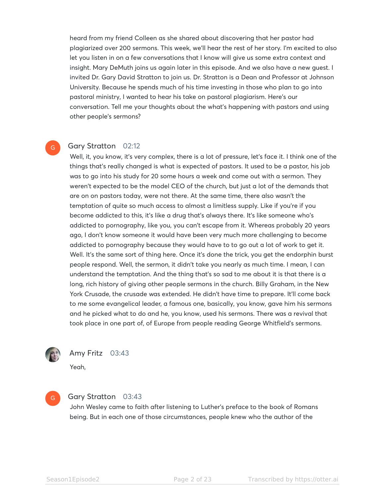heard from my friend Colleen as she shared about discovering that her pastor had plagiarized over 200 sermons. This week, we'll hear the rest of her story. I'm excited to also let you listen in on a few conversations that I know will give us some extra context and insight. Mary DeMuth joins us again later in this episode. And we also have a new guest. I invited Dr. Gary David Stratton to join us. Dr. Stratton is a Dean and Professor at Johnson University. Because he spends much of his time investing in those who plan to go into pastoral ministry, I wanted to hear his take on pastoral plagiarism. Here's our conversation. Tell me your thoughts about the what's happening with pastors and using other people's sermons?

#### Gary Stratton 02:12

Well, it, you know, it's very complex, there is a lot of pressure, let's face it. I think one of the things that's really changed is what is expected of pastors. It used to be a pastor, his job was to go into his study for 20 some hours a week and come out with a sermon. They weren't expected to be the model CEO of the church, but just a lot of the demands that are on on pastors today, were not there. At the same time, there also wasn't the temptation of quite so much access to almost a limitless supply. Like if you're if you become addicted to this, it's like a drug that's always there. It's like someone who's addicted to pornography, like you, you can't escape from it. Whereas probably 20 years ago, I don't know someone it would have been very much more challenging to become addicted to pornography because they would have to to go out a lot of work to get it. Well. It's the same sort of thing here. Once it's done the trick, you get the endorphin burst people respond. Well, the sermon, it didn't take you nearly as much time. I mean, I can understand the temptation. And the thing that's so sad to me about it is that there is a long, rich history of giving other people sermons in the church. Billy Graham, in the New York Crusade, the crusade was extended. He didn't have time to prepare. It'll come back to me some evangelical leader, a famous one, basically, you know, gave him his sermons and he picked what to do and he, you know, used his sermons. There was a revival that took place in one part of, of Europe from people reading George Whitfield's sermons.



G

#### Amy Fritz 03:43

Yeah,

G

#### Gary Stratton 03:43

John Wesley came to faith after listening to Luther's preface to the book of Romans being. But in each one of those circumstances, people knew who the author of the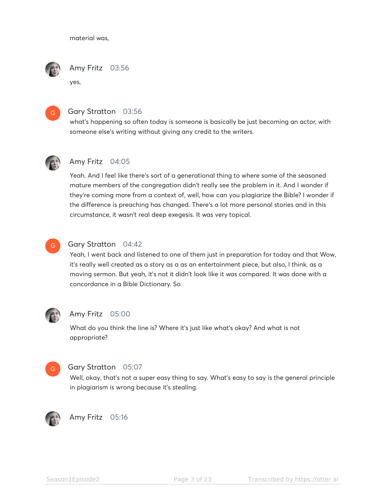material was,



yes,



#### Gary Stratton 03:56

what's happening so often today is someone is basically be just becoming an actor, with someone else's writing without giving any credit to the writers.



#### Amy Fritz 04:05

Yeah. And I feel like there's sort of a generational thing to where some of the seasoned mature members of the congregation didn't really see the problem in it. And I wonder if they're coming more from a context of, well, how can you plagiarize the Bible? I wonder if the difference is preaching has changed. There's a lot more personal stories and in this circumstance, it wasn't real deep exegesis. It was very topical.



#### Gary Stratton 04:42

Yeah, I went back and listened to one of them just in preparation for today and that Wow, it's really well created as a story as a as an entertainment piece, but also, I think, as a moving sermon. But yeah, it's not it didn't look like it was compared. It was done with a concordance in a Bible Dictionary. So



#### Amy Fritz 05:00

What do you think the line is? Where it's just like what's okay? And what is not appropriate?



#### Gary Stratton 05:07

Well, okay, that's not a super easy thing to say. What's easy to say is the general principle in plagiarism is wrong because it's stealing.



#### Amy Fritz 05:16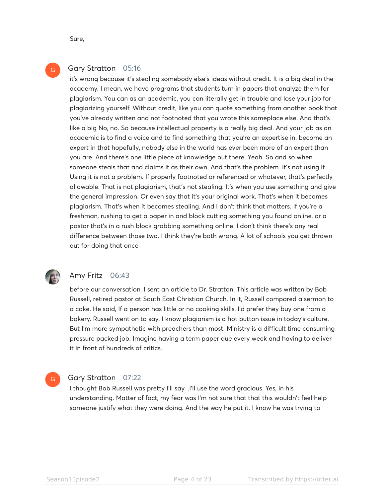Sure,

G

# Gary Stratton 05:16

it's wrong because it's stealing somebody else's ideas without credit. It is a big deal in the academy. I mean, we have programs that students turn in papers that analyze them for plagiarism. You can as an academic, you can literally get in trouble and lose your job for plagiarizing yourself. Without credit, like you can quote something from another book that you've already written and not footnoted that you wrote this someplace else. And that's like a big No, no. So because intellectual property is a really big deal. And your job as an academic is to find a voice and to find something that you're an expertise in. become an expert in that hopefully, nobody else in the world has ever been more of an expert than you are. And there's one little piece of knowledge out there. Yeah. So and so when someone steals that and claims it as their own. And that's the problem. It's not using it. Using it is not a problem. If properly footnoted or referenced or whatever, that's perfectly allowable. That is not plagiarism, that's not stealing. It's when you use something and give the general impression. Or even say that it's your original work. That's when it becomes plagiarism. That's when it becomes stealing. And I don't think that matters. If you're a freshman, rushing to get a paper in and block cutting something you found online, or a pastor that's in a rush block grabbing something online. I don't think there's any real difference between those two. I think they're both wrong. A lot of schools you get thrown out for doing that once



#### Amy Fritz 06:43

before our conversation, I sent an article to Dr. Stratton. This article was written by Bob Russell, retired pastor at South East Christian Church. In it, Russell compared a sermon to a cake. He said, If a person has little or no cooking skills, I'd prefer they buy one from a bakery. Russell went on to say, I know plagiarism is a hot button issue in today's culture. But I'm more sympathetic with preachers than most. Ministry is a difficult time consuming pressure packed job. Imagine having a term paper due every week and having to deliver it in front of hundreds of critics.

#### Gary Stratton 07:22 G

I thought Bob Russell was pretty I'll say. .I'll use the word gracious. Yes, in his understanding. Matter of fact, my fear was I'm not sure that that this wouldn't feel help someone justify what they were doing. And the way he put it. I know he was trying to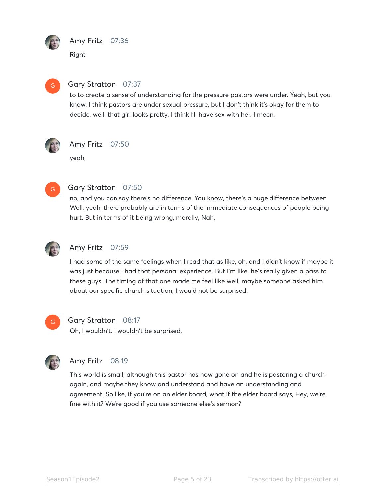

# Amy Fritz 07:36

Right



# Gary Stratton 07:37

to to create a sense of understanding for the pressure pastors were under. Yeah, but you know, I think pastors are under sexual pressure, but I don't think it's okay for them to decide, well, that girl looks pretty, I think I'll have sex with her. I mean,



# Amy Fritz 07:50

yeah,



# Gary Stratton 07:50

no, and you can say there's no difference. You know, there's a huge difference between Well, yeah, there probably are in terms of the immediate consequences of people being hurt. But in terms of it being wrong, morally, Nah,



# Amy Fritz 07:59

I had some of the same feelings when I read that as like, oh, and I didn't know if maybe it was just because I had that personal experience. But I'm like, he's really given a pass to these guys. The timing of that one made me feel like well, maybe someone asked him about our specific church situation, I would not be surprised.



# Gary Stratton 08:17

Oh, I wouldn't. I wouldn't be surprised,



# Amy Fritz 08:19

This world is small, although this pastor has now gone on and he is pastoring a church again, and maybe they know and understand and have an understanding and agreement. So like, if you're on an elder board, what if the elder board says, Hey, we're fine with it? We're good if you use someone else's sermon?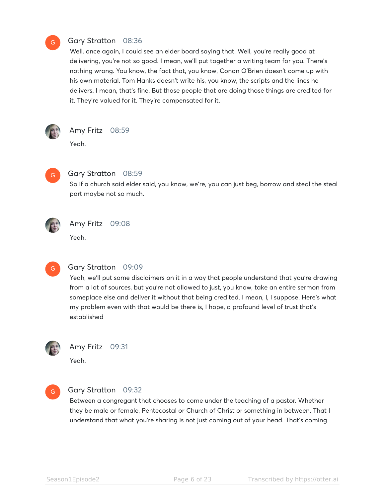#### Gary Stratton 08:36

Well, once again, I could see an elder board saying that. Well, you're really good at delivering, you're not so good. I mean, we'll put together a writing team for you. There's nothing wrong. You know, the fact that, you know, Conan O'Brien doesn't come up with his own material. Tom Hanks doesn't write his, you know, the scripts and the lines he delivers. I mean, that's fine. But those people that are doing those things are credited for it. They're valued for it. They're compensated for it.



G

Amy Fritz 08:59

Yeah.



#### Gary Stratton 08:59

So if a church said elder said, you know, we're, you can just beg, borrow and steal the steal part maybe not so much.



#### Amy Fritz 09:08

Yeah.



#### Gary Stratton 09:09

Yeah, we'll put some disclaimers on it in a way that people understand that you're drawing from a lot of sources, but you're not allowed to just, you know, take an entire sermon from someplace else and deliver it without that being credited. I mean, I, I suppose. Here's what my problem even with that would be there is, I hope, a profound level of trust that's established



#### Amy Fritz 09:31

Yeah.



#### Gary Stratton 09:32

Between a congregant that chooses to come under the teaching of a pastor. Whether they be male or female, Pentecostal or Church of Christ or something in between. That I understand that what you're sharing is not just coming out of your head. That's coming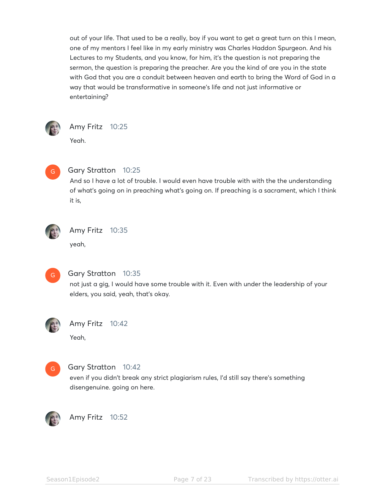out of your life. That used to be a really, boy if you want to get a great turn on this I mean, one of my mentors I feel like in my early ministry was Charles Haddon Spurgeon. And his Lectures to my Students, and you know, for him, it's the question is not preparing the sermon, the question is preparing the preacher. Are you the kind of are you in the state with God that you are a conduit between heaven and earth to bring the Word of God in a way that would be transformative in someone's life and not just informative or entertaining?



# Amy Fritz 10:25

Yeah.



# Gary Stratton 10:25

And so I have a lot of trouble. I would even have trouble with with the the understanding of what's going on in preaching what's going on. If preaching is a sacrament, which I think it is,



# Amy Fritz 10:35

yeah,



# Gary Stratton 10:35

not just a gig, I would have some trouble with it. Even with under the leadership of your elders, you said, yeah, that's okay.



# Amy Fritz 10:42

Yeah,



# Gary Stratton 10:42

even if you didn't break any strict plagiarism rules, I'd still say there's something disengenuine. going on here.



Amy Fritz 10:52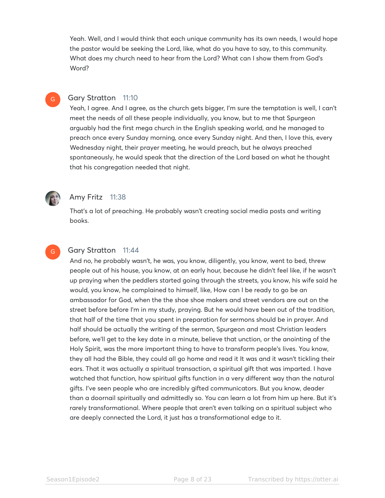Yeah. Well, and I would think that each unique community has its own needs, I would hope the pastor would be seeking the Lord, like, what do you have to say, to this community. What does my church need to hear from the Lord? What can I show them from God's Word?

#### Gary Stratton 11:10

Yeah, I agree. And I agree, as the church gets bigger, I'm sure the temptation is well, I can't meet the needs of all these people individually, you know, but to me that Spurgeon arguably had the first mega church in the English speaking world, and he managed to preach once every Sunday morning, once every Sunday night. And then, I love this, every Wednesday night, their prayer meeting, he would preach, but he always preached spontaneously, he would speak that the direction of the Lord based on what he thought that his congregation needed that night.



 $\boxed{G}$ 

### Amy Fritz 11:38

That's a lot of preaching. He probably wasn't creating social media posts and writing books.



#### Gary Stratton 11:44

And no, he probably wasn't, he was, you know, diligently, you know, went to bed, threw people out of his house, you know, at an early hour, because he didn't feel like, if he wasn't up praying when the peddlers started going through the streets, you know, his wife said he would, you know, he complained to himself, like, How can I be ready to go be an ambassador for God, when the the shoe shoe makers and street vendors are out on the street before before I'm in my study, praying. But he would have been out of the tradition, that half of the time that you spent in preparation for sermons should be in prayer. And half should be actually the writing of the sermon, Spurgeon and most Christian leaders before, we'll get to the key date in a minute, believe that unction, or the anointing of the Holy Spirit, was the more important thing to have to transform people's lives. You know, they all had the Bible, they could all go home and read it It was and it wasn't tickling their ears. That it was actually a spiritual transaction, a spiritual gift that was imparted. I have watched that function, how spiritual gifts function in a very different way than the natural gifts. I've seen people who are incredibly gifted communicators. But you know, deader than a doornail spiritually and admittedly so. You can learn a lot from him up here. But it's rarely transformational. Where people that aren't even talking on a spiritual subject who are deeply connected the Lord, it just has a transformational edge to it.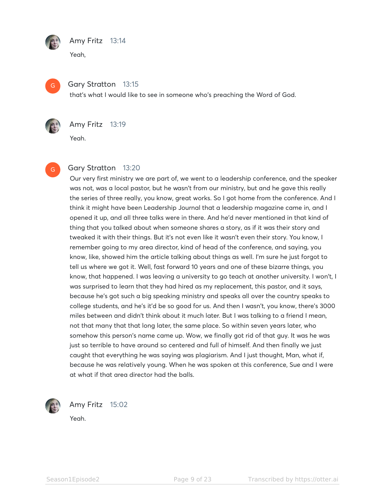

# Amy Fritz 13:14

Yeah,



### Gary Stratton 13:15

that's what I would like to see in someone who's preaching the Word of God.



# Amy Fritz 13:19

Yeah.



# Gary Stratton 13:20

Our very first ministry we are part of, we went to a leadership conference, and the speaker was not, was a local pastor, but he wasn't from our ministry, but and he gave this really the series of three really, you know, great works. So I got home from the conference. And I think it might have been Leadership Journal that a leadership magazine came in, and I opened it up, and all three talks were in there. And he'd never mentioned in that kind of thing that you talked about when someone shares a story, as if it was their story and tweaked it with their things. But it's not even like it wasn't even their story. You know, I remember going to my area director, kind of head of the conference, and saying, you know, like, showed him the article talking about things as well. I'm sure he just forgot to tell us where we got it. Well, fast forward 10 years and one of these bizarre things, you know, that happened. I was leaving a university to go teach at another university. I won't, I was surprised to learn that they had hired as my replacement, this pastor, and it says, because he's got such a big speaking ministry and speaks all over the country speaks to college students, and he's it'd be so good for us. And then I wasn't, you know, there's 3000 miles between and didn't think about it much later. But I was talking to a friend I mean, not that many that that long later, the same place. So within seven years later, who somehow this person's name came up. Wow, we finally got rid of that guy. It was he was just so terrible to have around so centered and full of himself. And then finally we just caught that everything he was saying was plagiarism. And I just thought, Man, what if, because he was relatively young. When he was spoken at this conference, Sue and I were at what if that area director had the balls.



Amy Fritz 15:02

Yeah.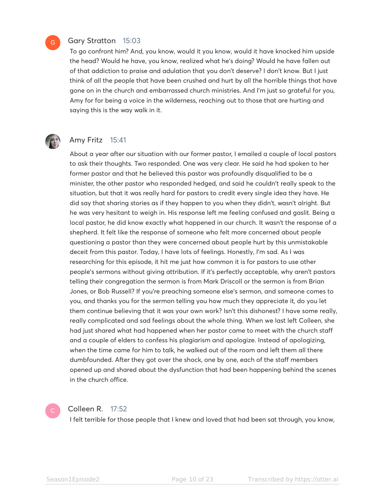#### Gary Stratton 15:03

To go confront him? And, you know, would it you know, would it have knocked him upside the head? Would he have, you know, realized what he's doing? Would he have fallen out of that addiction to praise and adulation that you don't deserve? I don't know. But I just think of all the people that have been crushed and hurt by all the horrible things that have gone on in the church and embarrassed church ministries. And I'm just so grateful for you, Amy for for being a voice in the wilderness, reaching out to those that are hurting and saying this is the way walk in it.



 $\overline{G}$ 

#### Amy Fritz 15:41

About a year after our situation with our former pastor, I emailed a couple of local pastors to ask their thoughts. Two responded. One was very clear. He said he had spoken to her former pastor and that he believed this pastor was profoundly disqualified to be a minister, the other pastor who responded hedged, and said he couldn't really speak to the situation, but that it was really hard for pastors to credit every single idea they have. He did say that sharing stories as if they happen to you when they didn't, wasn't alright. But he was very hesitant to weigh in. His response left me feeling confused and gaslit. Being a local pastor, he did know exactly what happened in our church. It wasn't the response of a shepherd. It felt like the response of someone who felt more concerned about people questioning a pastor than they were concerned about people hurt by this unmistakable deceit from this pastor. Today, I have lots of feelings. Honestly, I'm sad. As I was researching for this episode, it hit me just how common it is for pastors to use other people's sermons without giving attribution. If it's perfectly acceptable, why aren't pastors telling their congregation the sermon is from Mark Driscoll or the sermon is from Brian Jones, or Bob Russell? If you're preaching someone else's sermon, and someone comes to you, and thanks you for the sermon telling you how much they appreciate it, do you let them continue believing that it was your own work? Isn't this dishonest? I have some really, really complicated and sad feelings about the whole thing. When we last left Colleen, she had just shared what had happened when her pastor came to meet with the church staff and a couple of elders to confess his plagiarism and apologize. Instead of apologizing, when the time came for him to talk, he walked out of the room and left them all there dumbfounded. After they got over the shock, one by one, each of the staff members opened up and shared about the dysfunction that had been happening behind the scenes in the church office.

#### Colleen R. 17:52

I felt terrible for those people that I knew and loved that had been sat through, you know,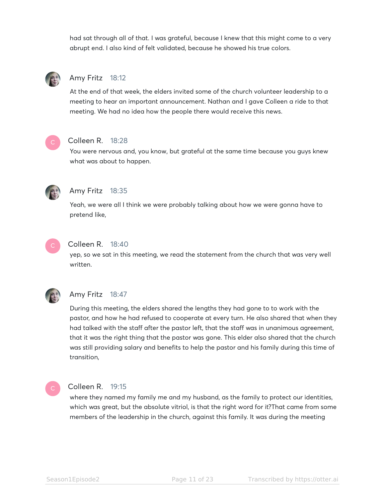had sat through all of that. I was grateful, because I knew that this might come to a very abrupt end. I also kind of felt validated, because he showed his true colors.



# Amy Fritz 18:12

At the end of that week, the elders invited some of the church volunteer leadership to a meeting to hear an important announcement. Nathan and I gave Colleen a ride to that meeting. We had no idea how the people there would receive this news.



#### Colleen R. 18:28

You were nervous and, you know, but grateful at the same time because you guys knew what was about to happen.



#### Amy Fritz 18:35

Yeah, we were all I think we were probably talking about how we were gonna have to pretend like,



#### Colleen R. 18:40

yep, so we sat in this meeting, we read the statement from the church that was very well written.



### Amy Fritz 18:47

During this meeting, the elders shared the lengths they had gone to to work with the pastor, and how he had refused to cooperate at every turn. He also shared that when they had talked with the staff after the pastor left, that the staff was in unanimous agreement, that it was the right thing that the pastor was gone. This elder also shared that the church was still providing salary and benefits to help the pastor and his family during this time of transition,



#### Colleen R. 19:15

where they named my family me and my husband, as the family to protect our identities, which was great, but the absolute vitriol, is that the right word for it?That came from some members of the leadership in the church, against this family. It was during the meeting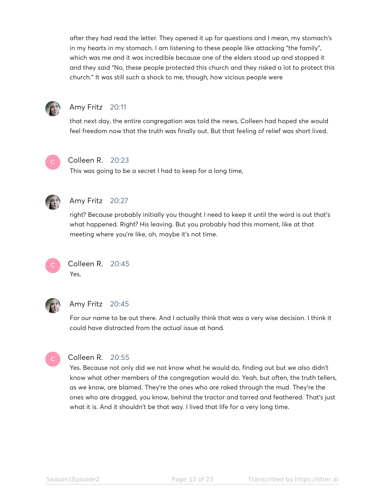after they had read the letter. They opened it up for questions and I mean, my stomach's in my hearts in my stomach. I am listening to these people like attacking "the family", which was me and it was incredible because one of the elders stood up and stopped it and they said "No, these people protected this church and they risked a lot to protect this church." It was still such a shock to me, though, how vicious people were



# Amy Fritz 20:11

that next day, the entire congregation was told the news, Colleen had hoped she would feel freedom now that the truth was finally out. But that feeling of relief was short lived.



# Colleen R. 20:23

This was going to be a secret I had to keep for a long time,



# Amy Fritz 20:27

right? Because probably initially you thought I need to keep it until the word is out that's what happened. Right? His leaving. But you probably had this moment, like at that meeting where you're like, oh, maybe it's not time.



#### Colleen R. 20:45 Yes,



# Amy Fritz 20:45

For our name to be out there. And I actually think that was a very wise decision. I think it could have distracted from the actual issue at hand.



# Colleen R. 20:55

Yes. Because not only did we not know what he would do, finding out but we also didn't know what other members of the congregation would do. Yeah, but often, the truth tellers, as we know, are blamed. They're the ones who are raked through the mud. They're the ones who are dragged, you know, behind the tractor and tarred and feathered. That's just what it is. And it shouldn't be that way. I lived that life for a very long time.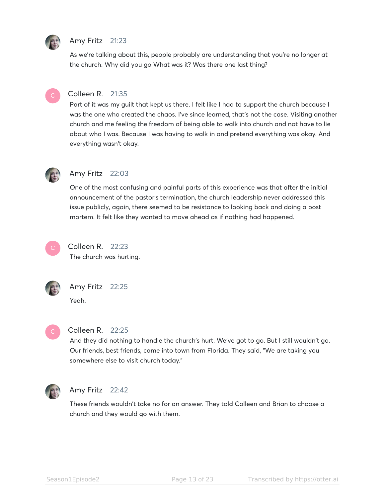

# Amy Fritz 21:23

As we're talking about this, people probably are understanding that you're no longer at the church. Why did you go What was it? Was there one last thing?



# Colleen R. 21:35

Part of it was my guilt that kept us there. I felt like I had to support the church because I was the one who created the chaos. I've since learned, that's not the case. Visiting another church and me feeling the freedom of being able to walk into church and not have to lie about who I was. Because I was having to walk in and pretend everything was okay. And everything wasn't okay.



#### Amy Fritz 22:03

One of the most confusing and painful parts of this experience was that after the initial announcement of the pastor's termination, the church leadership never addressed this issue publicly, again, there seemed to be resistance to looking back and doing a post mortem. It felt like they wanted to move ahead as if nothing had happened.



# Colleen R. 22:23

The church was hurting.



# Amy Fritz 22:25

Yeah.



#### Colleen R. 22:25

And they did nothing to handle the church's hurt. We've got to go. But I still wouldn't go. Our friends, best friends, came into town from Florida. They said, "We are taking you somewhere else to visit church today."



#### Amy Fritz 22:42

These friends wouldn't take no for an answer. They told Colleen and Brian to choose a church and they would go with them.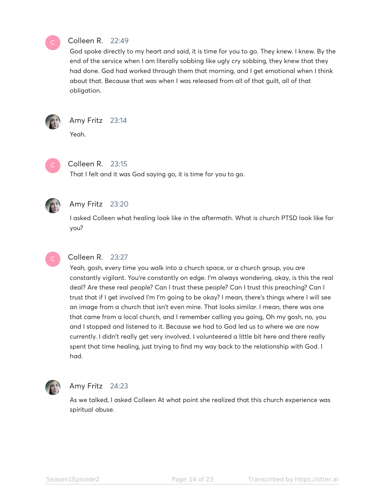

#### Colleen R. 22:49

God spoke directly to my heart and said, it is time for you to go. They knew. I knew. By the end of the service when I am literally sobbing like ugly cry sobbing, they knew that they had done. God had worked through them that morning, and I get emotional when I think about that. Because that was when I was released from all of that guilt, all of that obligation.



### Amy Fritz 23:14

Yeah.



# Colleen R. 23:15

That I felt and it was God saying go, it is time for you to go.



# Amy Fritz 23:20

I asked Colleen what healing look like in the aftermath. What is church PTSD look like for you?



#### Colleen R. 23:27

Yeah, gosh, every time you walk into a church space, or a church group, you are constantly vigilant. You're constantly on edge. I'm always wondering, okay, is this the real deal? Are these real people? Can I trust these people? Can I trust this preaching? Can I trust that if I get involved I'm I'm going to be okay? I mean, there's things where I will see an image from a church that isn't even mine. That looks similar. I mean, there was one that came from a local church, and I remember calling you going, Oh my gosh, no, you and I stopped and listened to it. Because we had to God led us to where we are now currently. I didn't really get very involved. I volunteered a little bit here and there really spent that time healing, just trying to find my way back to the relationship with God. I had.



# Amy Fritz 24:23

As we talked, I asked Colleen At what point she realized that this church experience was spiritual abuse.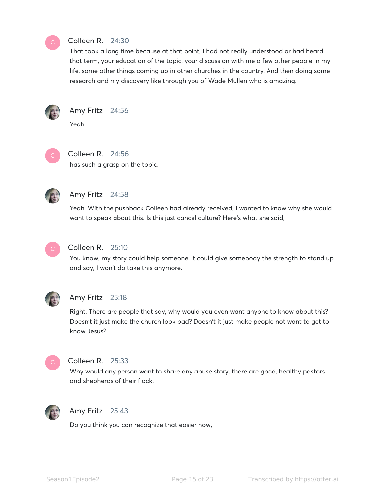

# Colleen R. 24:30

That took a long time because at that point, I had not really understood or had heard that term, your education of the topic, your discussion with me a few other people in my life, some other things coming up in other churches in the country. And then doing some research and my discovery like through you of Wade Mullen who is amazing.



# Amy Fritz 24:56

Yeah.



# Colleen R. 24:56

has such a grasp on the topic.



# Amy Fritz 24:58

Yeah. With the pushback Colleen had already received, I wanted to know why she would want to speak about this. Is this just cancel culture? Here's what she said,



# Colleen R. 25:10

You know, my story could help someone, it could give somebody the strength to stand up and say, I won't do take this anymore.



# Amy Fritz 25:18

Right. There are people that say, why would you even want anyone to know about this? Doesn't it just make the church look bad? Doesn't it just make people not want to get to know Jesus?



# Colleen R. 25:33

Why would any person want to share any abuse story, there are good, healthy pastors and shepherds of their flock.



# Amy Fritz 25:43

Do you think you can recognize that easier now,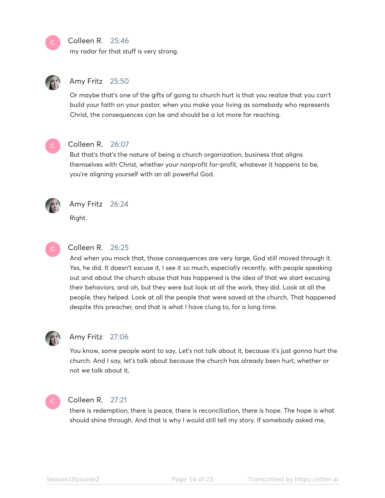#### Colleen R. 25:46

my radar for that stuff is very strong.



# Amy Fritz 25:50

Or maybe that's one of the gifts of going to church hurt is that you realize that you can't build your faith on your pastor, when you make your living as somebody who represents Christ, the consequences can be and should be a lot more far reaching.



#### Colleen R. 26:07

But that's that's the nature of being a church organization, business that aligns themselves with Christ, whether your nonprofit for-profit, whatever it happens to be, you're aligning yourself with an all powerful God.



# Amy Fritz 26:24

Right.



### Colleen R. 26:25

And when you mock that, those consequences are very large, God still moved through it. Yes, he did. It doesn't excuse it, I see it so much, especially recently, with people speaking out and about the church abuse that has happened is the idea of that we start excusing their behaviors, and oh, but they were but look at all the work, they did. Look at all the people, they helped. Look at all the people that were saved at the church. That happened despite this preacher, and that is what I have clung to, for a long time.



#### Amy Fritz 27:06

You know, some people want to say, Let's not talk about it, because it's just gonna hurt the church. And I say, let's talk about because the church has already been hurt, whether or not we talk about it,



#### Colleen R. 27:21

there is redemption, there is peace, there is reconciliation, there is hope. The hope is what should shine through. And that is why I would still tell my story. If somebody asked me,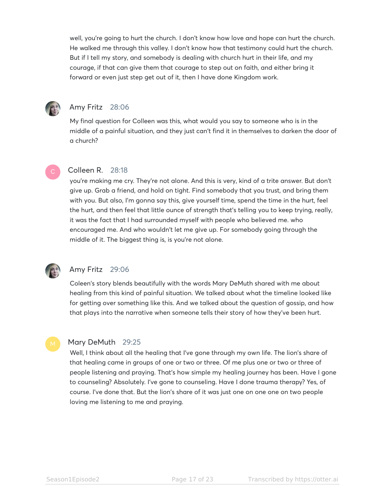well, you're going to hurt the church. I don't know how love and hope can hurt the church. He walked me through this valley. I don't know how that testimony could hurt the church. But if I tell my story, and somebody is dealing with church hurt in their life, and my courage, if that can give them that courage to step out on faith, and either bring it forward or even just step get out of it, then I have done Kingdom work.



# Amy Fritz 28:06

My final question for Colleen was this, what would you say to someone who is in the middle of a painful situation, and they just can't find it in themselves to darken the door of a church?

# Colleen R. 28:18

you're making me cry. They're not alone. And this is very, kind of a trite answer. But don't give up. Grab a friend, and hold on tight. Find somebody that you trust, and bring them with you. But also, I'm gonna say this, give yourself time, spend the time in the hurt, feel the hurt, and then feel that little ounce of strength that's telling you to keep trying, really, it was the fact that I had surrounded myself with people who believed me. who encouraged me. And who wouldn't let me give up. For somebody going through the middle of it. The biggest thing is, is you're not alone.



# Amy Fritz 29:06

Coleen's story blends beautifully with the words Mary DeMuth shared with me about healing from this kind of painful situation. We talked about what the timeline looked like for getting over something like this. And we talked about the question of gossip, and how that plays into the narrative when someone tells their story of how they've been hurt.

#### Mary DeMuth 29:25

Well, I think about all the healing that I've gone through my own life. The lion's share of that healing came in groups of one or two or three. Of me plus one or two or three of people listening and praying. That's how simple my healing journey has been. Have I gone to counseling? Absolutely. I've gone to counseling. Have I done trauma therapy? Yes, of course. I've done that. But the lion's share of it was just one on one one on two people loving me listening to me and praying.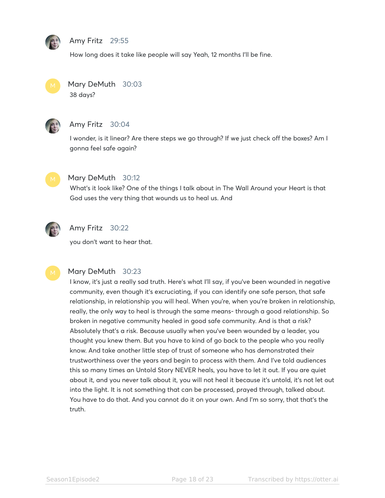

#### Amy Fritz 29:55

How long does it take like people will say Yeah, 12 months I'll be fine.



Mary DeMuth 30:03 38 days?



# Amy Fritz 30:04

I wonder, is it linear? Are there steps we go through? If we just check off the boxes? Am I gonna feel safe again?



### Mary DeMuth 30:12

What's it look like? One of the things I talk about in The Wall Around your Heart is that God uses the very thing that wounds us to heal us. And



# Amy Fritz 30:22

you don't want to hear that.



#### Mary DeMuth 30:23

I know, it's just a really sad truth. Here's what I'll say, if you've been wounded in negative community, even though it's excruciating, if you can identify one safe person, that safe relationship, in relationship you will heal. When you're, when you're broken in relationship, really, the only way to heal is through the same means- through a good relationship. So broken in negative community healed in good safe community. And is that a risk? Absolutely that's a risk. Because usually when you've been wounded by a leader, you thought you knew them. But you have to kind of go back to the people who you really know. And take another little step of trust of someone who has demonstrated their trustworthiness over the years and begin to process with them. And I've told audiences this so many times an Untold Story NEVER heals, you have to let it out. If you are quiet about it, and you never talk about it, you will not heal it because it's untold, it's not let out into the light. It is not something that can be processed, prayed through, talked about. You have to do that. And you cannot do it on your own. And I'm so sorry, that that's the truth.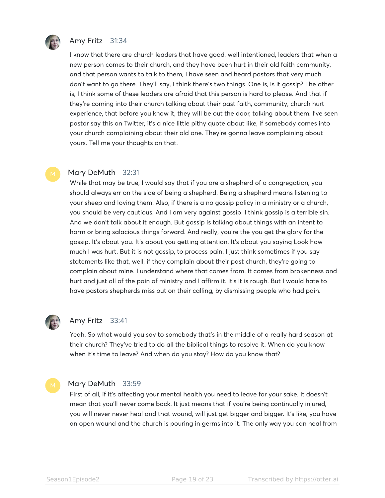

# Amy Fritz 31:34

I know that there are church leaders that have good, well intentioned, leaders that when a new person comes to their church, and they have been hurt in their old faith community, and that person wants to talk to them, I have seen and heard pastors that very much don't want to go there. They'll say, I think there's two things. One is, is it gossip? The other is, I think some of these leaders are afraid that this person is hard to please. And that if they're coming into their church talking about their past faith, community, church hurt experience, that before you know it, they will be out the door, talking about them. I've seen pastor say this on Twitter, it's a nice little pithy quote about like, if somebody comes into your church complaining about their old one. They're gonna leave complaining about yours. Tell me your thoughts on that.

#### Mary DeMuth 32:31

While that may be true, I would say that if you are a shepherd of a congregation, you should always err on the side of being a shepherd. Being a shepherd means listening to your sheep and loving them. Also, if there is a no gossip policy in a ministry or a church, you should be very cautious. And I am very against gossip. I think gossip is a terrible sin. And we don't talk about it enough. But gossip is talking about things with an intent to harm or bring salacious things forward. And really, you're the you get the glory for the gossip. It's about you. It's about you getting attention. It's about you saying Look how much I was hurt. But it is not gossip, to process pain. I just think sometimes if you say statements like that, well, if they complain about their past church, they're going to complain about mine. I understand where that comes from. It comes from brokenness and hurt and just all of the pain of ministry and I affirm it. It's it is rough. But I would hate to have pastors shepherds miss out on their calling, by dismissing people who had pain.



#### Amy Fritz 33:41

Yeah. So what would you say to somebody that's in the middle of a really hard season at their church? They've tried to do all the biblical things to resolve it. When do you know when it's time to leave? And when do you stay? How do you know that?

#### Mary DeMuth 33:59

First of all, if it's affecting your mental health you need to leave for your sake. It doesn't mean that you'll never come back. It just means that if you're being continually injured, you will never never heal and that wound, will just get bigger and bigger. It's like, you have an open wound and the church is pouring in germs into it. The only way you can heal from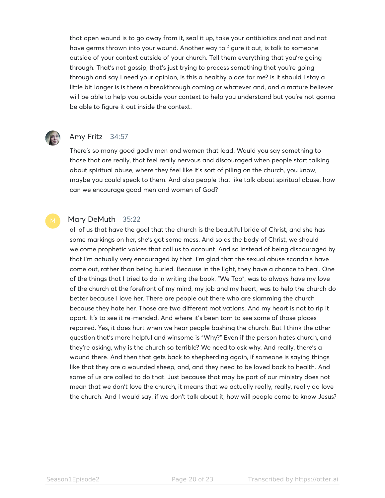that open wound is to go away from it, seal it up, take your antibiotics and not and not have germs thrown into your wound. Another way to figure it out, is talk to someone outside of your context outside of your church. Tell them everything that you're going through. That's not gossip, that's just trying to process something that you're going through and say I need your opinion, is this a healthy place for me? Is it should I stay a little bit longer is is there a breakthrough coming or whatever and, and a mature believer will be able to help you outside your context to help you understand but you're not gonna be able to figure it out inside the context.



# Amy Fritz 34:57

There's so many good godly men and women that lead. Would you say something to those that are really, that feel really nervous and discouraged when people start talking about spiritual abuse, where they feel like it's sort of piling on the church, you know, maybe you could speak to them. And also people that like talk about spiritual abuse, how can we encourage good men and women of God?

#### Mary DeMuth 35:22

all of us that have the goal that the church is the beautiful bride of Christ, and she has some markings on her, she's got some mess. And so as the body of Christ, we should welcome prophetic voices that call us to account. And so instead of being discouraged by that I'm actually very encouraged by that. I'm glad that the sexual abuse scandals have come out, rather than being buried. Because in the light, they have a chance to heal. One of the things that I tried to do in writing the book, "We Too", was to always have my love of the church at the forefront of my mind, my job and my heart, was to help the church do better because I love her. There are people out there who are slamming the church because they hate her. Those are two different motivations. And my heart is not to rip it apart. It's to see it re-mended. And where it's been torn to see some of those places repaired. Yes, it does hurt when we hear people bashing the church. But I think the other question that's more helpful and winsome is "Why?" Even if the person hates church, and they're asking, why is the church so terrible? We need to ask why. And really, there's a wound there. And then that gets back to shepherding again, if someone is saying things like that they are a wounded sheep, and, and they need to be loved back to health. And some of us are called to do that. Just because that may be part of our ministry does not mean that we don't love the church, it means that we actually really, really, really do love the church. And I would say, if we don't talk about it, how will people come to know Jesus?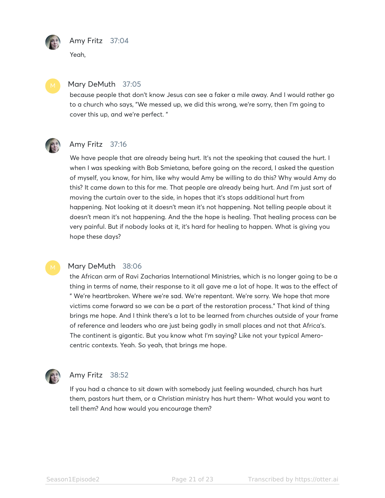

# Amy Fritz 37:04

Yeah,



#### Mary DeMuth 37:05

because people that don't know Jesus can see a faker a mile away. And I would rather go to a church who says, "We messed up, we did this wrong, we're sorry, then I'm going to cover this up, and we're perfect. "



# Amy Fritz 37:16

We have people that are already being hurt. It's not the speaking that caused the hurt. I when I was speaking with Bob Smietana, before going on the record, I asked the question of myself, you know, for him, like why would Amy be willing to do this? Why would Amy do this? It came down to this for me. That people are already being hurt. And I'm just sort of moving the curtain over to the side, in hopes that it's stops additional hurt from happening. Not looking at it doesn't mean it's not happening. Not telling people about it doesn't mean it's not happening. And the the hope is healing. That healing process can be very painful. But if nobody looks at it, it's hard for healing to happen. What is giving you hope these days?

#### Mary DeMuth 38:06

the African arm of Ravi Zacharias International Ministries, which is no longer going to be a thing in terms of name, their response to it all gave me a lot of hope. It was to the effect of " We're heartbroken. Where we're sad. We're repentant. We're sorry. We hope that more victims come forward so we can be a part of the restoration process." That kind of thing brings me hope. And I think there's a lot to be learned from churches outside of your frame of reference and leaders who are just being godly in small places and not that Africa's. The continent is gigantic. But you know what I'm saying? Like not your typical Amerocentric contexts. Yeah. So yeah, that brings me hope.



# Amy Fritz 38:52

If you had a chance to sit down with somebody just feeling wounded, church has hurt them, pastors hurt them, or a Christian ministry has hurt them- What would you want to tell them? And how would you encourage them?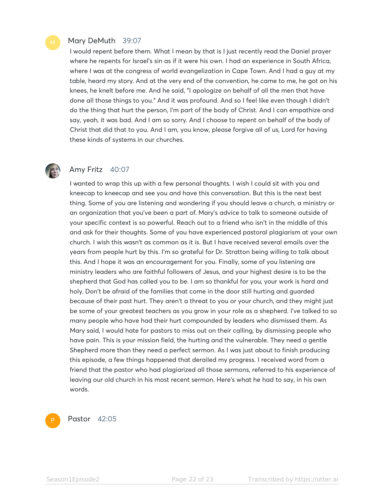#### Mary DeMuth 39:07

I would repent before them. What I mean by that is I just recently read the Daniel prayer where he repents for Israel's sin as if it were his own. I had an experience in South Africa, where I was at the congress of world evangelization in Cape Town. And I had a guy at my table, heard my story. And at the very end of the convention, he came to me, he got on his knees, he knelt before me. And he said, "I apologize on behalf of all the men that have done all those things to you." And it was profound. And so I feel like even though I didn't do the thing that hurt the person, I'm part of the body of Christ. And I can empathize and say, yeah, it was bad. And I am so sorry. And I choose to repent on behalf of the body of Christ that did that to you. And I am, you know, please forgive all of us, Lord for having these kinds of systems in our churches.



### Amy Fritz 40:07

I wanted to wrap this up with a few personal thoughts. I wish I could sit with you and kneecap to kneecap and see you and have this conversation. But this is the next best thing. Some of you are listening and wondering if you should leave a church, a ministry or an organization that you've been a part of. Mary's advice to talk to someone outside of your specific context is so powerful. Reach out to a friend who isn't in the middle of this and ask for their thoughts. Some of you have experienced pastoral plagiarism at your own church. I wish this wasn't as common as it is. But I have received several emails over the years from people hurt by this. I'm so grateful for Dr. Stratton being willing to talk about this. And I hope it was an encouragement for you. Finally, some of you listening are ministry leaders who are faithful followers of Jesus, and your highest desire is to be the shepherd that God has called you to be. I am so thankful for you, your work is hard and holy. Don't be afraid of the families that come in the door still hurting and guarded because of their past hurt. They aren't a threat to you or your church, and they might just be some of your greatest teachers as you grow in your role as a shepherd. I've talked to so many people who have had their hurt compounded by leaders who dismissed them. As Mary said, I would hate for pastors to miss out on their calling, by dismissing people who have pain. This is your mission field, the hurting and the vulnerable. They need a gentle Shepherd more than they need a perfect sermon. As I was just about to finish producing this episode, a few things happened that derailed my progress. I received word from a friend that the pastor who had plagiarized all those sermons, referred to his experience of leaving our old church in his most recent sermon. Here's what he had to say, in his own words.